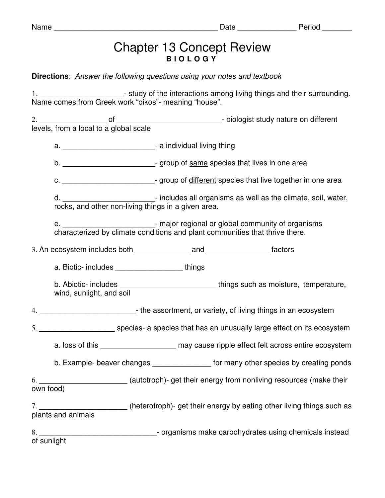## Name \_\_\_\_\_\_\_\_\_\_\_\_\_\_\_\_\_\_\_\_\_\_\_\_\_\_\_\_\_\_\_\_\_\_\_\_\_\_\_ Date \_\_\_\_\_\_\_\_\_\_\_\_\_\_ Period \_\_\_\_\_\_\_

## Chapter 13 Concept Review **B I O L O G Y**

**Directions**: Answer the following questions using your notes and textbook

1. **1.** The study of the interactions among living things and their surrounding. Name comes from Greek work "oikos"- meaning "house".

2. \_\_\_\_\_\_\_\_\_\_\_\_\_\_\_\_ of \_\_\_\_\_\_\_\_\_\_\_\_\_\_\_\_\_\_\_\_\_\_\_\_\_- biologist study nature on different levels, from a local to a global scale a. \_\_\_\_\_\_\_\_\_\_\_\_\_\_\_\_\_\_\_\_\_\_- a individual living thing b.  $\blacksquare$   $\blacksquare$  aroup of same species that lives in one area c. \_\_\_\_\_\_\_\_\_\_\_\_\_\_\_\_\_\_\_\_\_\_\_\_\_\_\_\_\_- group of different species that live together in one area d. \_\_\_\_\_\_\_\_\_\_\_\_\_\_\_\_\_\_\_\_\_\_- includes all organisms as well as the climate, soil, water, rocks, and other non-living things in a given area. - major regional or global community of organisms characterized by climate conditions and plant communities that thrive there. 3. An ecosystem includes both and and tactors a. Biotic- includes \_\_\_\_\_\_\_\_\_\_\_\_\_\_\_\_ things b. Abiotic- includes \_\_\_\_\_\_\_\_\_\_\_\_\_\_\_\_\_\_\_\_\_\_\_ things such as moisture, temperature, wind, sunlight, and soil 4. \_\_\_\_\_\_\_\_\_\_\_\_\_\_\_\_\_\_\_\_\_\_\_- the assortment, or variety, of living things in an ecosystem 5. \_\_\_\_\_\_\_\_\_\_\_\_\_\_\_\_\_\_\_\_\_\_\_ species- a species that has an unusually large effect on its ecosystem a. loss of this \_\_\_\_\_\_\_\_\_\_\_\_\_\_\_\_\_\_\_\_\_\_ may cause ripple effect felt across entire ecosystem b. Example- beaver changes **Example-** beaver changes **areas** for many other species by creating ponds 6. \_\_\_\_\_\_\_\_\_\_\_\_\_\_\_\_\_\_\_\_\_ (autotroph)- get their energy from nonliving resources (make their own food) 7. \_\_\_\_\_\_\_\_\_\_\_\_\_\_\_\_\_\_\_\_\_\_\_\_\_\_\_(heterotroph)- get their energy by eating other living things such as plants and animals 8. \_\_\_\_\_\_\_\_\_\_\_\_\_\_\_\_\_\_\_\_\_\_\_\_\_\_\_\_\_\_\_\_\_\_\_- organisms make carbohydrates using chemicals instead of sunlight